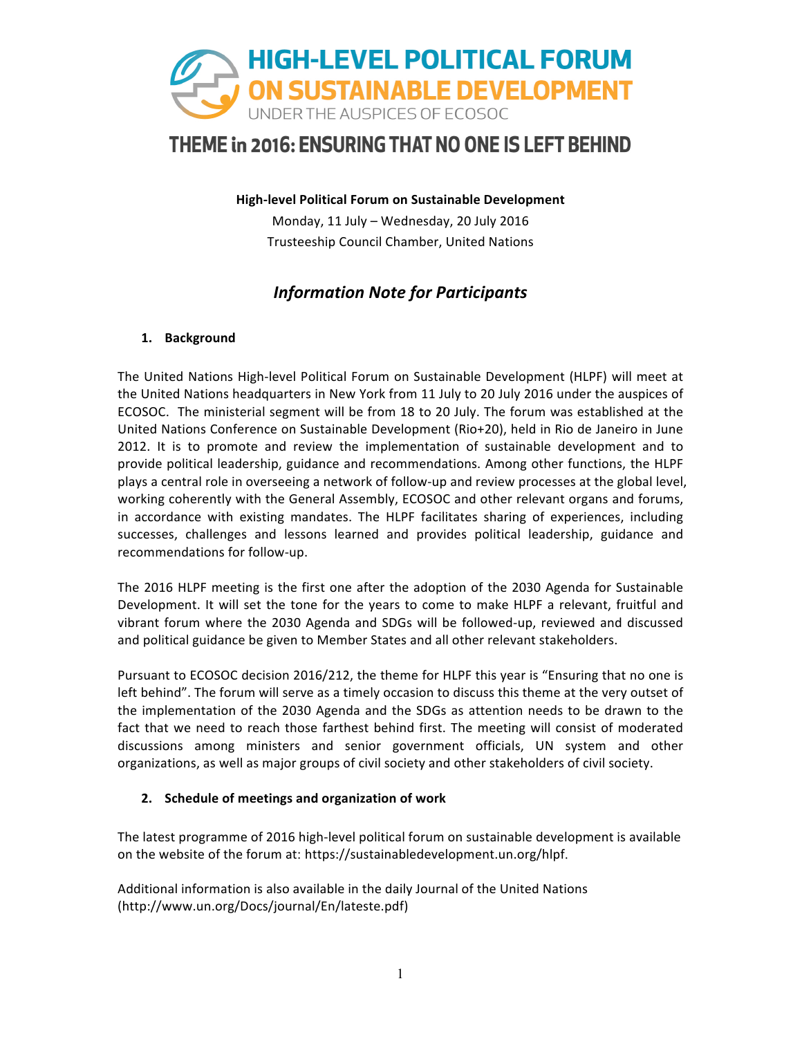

**High-level Political Forum on Sustainable Development** 

Monday, 11 July - Wednesday, 20 July 2016 Trusteeship Council Chamber, United Nations

## *Information Note for Participants*

### **1. Background**

The United Nations High-level Political Forum on Sustainable Development (HLPF) will meet at the United Nations headquarters in New York from 11 July to 20 July 2016 under the auspices of ECOSOC. The ministerial segment will be from 18 to 20 July. The forum was established at the United Nations Conference on Sustainable Development (Rio+20), held in Rio de Janeiro in June 2012. It is to promote and review the implementation of sustainable development and to provide political leadership, guidance and recommendations. Among other functions, the HLPF plays a central role in overseeing a network of follow-up and review processes at the global level, working coherently with the General Assembly, ECOSOC and other relevant organs and forums, in accordance with existing mandates. The HLPF facilitates sharing of experiences, including successes, challenges and lessons learned and provides political leadership, guidance and recommendations for follow-up.

The 2016 HLPF meeting is the first one after the adoption of the 2030 Agenda for Sustainable Development. It will set the tone for the years to come to make HLPF a relevant, fruitful and vibrant forum where the 2030 Agenda and SDGs will be followed-up, reviewed and discussed and political guidance be given to Member States and all other relevant stakeholders.

Pursuant to ECOSOC decision 2016/212, the theme for HLPF this year is "Ensuring that no one is left behind". The forum will serve as a timely occasion to discuss this theme at the very outset of the implementation of the 2030 Agenda and the SDGs as attention needs to be drawn to the fact that we need to reach those farthest behind first. The meeting will consist of moderated discussions among ministers and senior government officials, UN system and other organizations, as well as major groups of civil society and other stakeholders of civil society.

### 2. Schedule of meetings and organization of work

The latest programme of 2016 high-level political forum on sustainable development is available on the website of the forum at: https://sustainabledevelopment.un.org/hlpf.

Additional information is also available in the daily Journal of the United Nations (http://www.un.org/Docs/journal/En/lateste.pdf)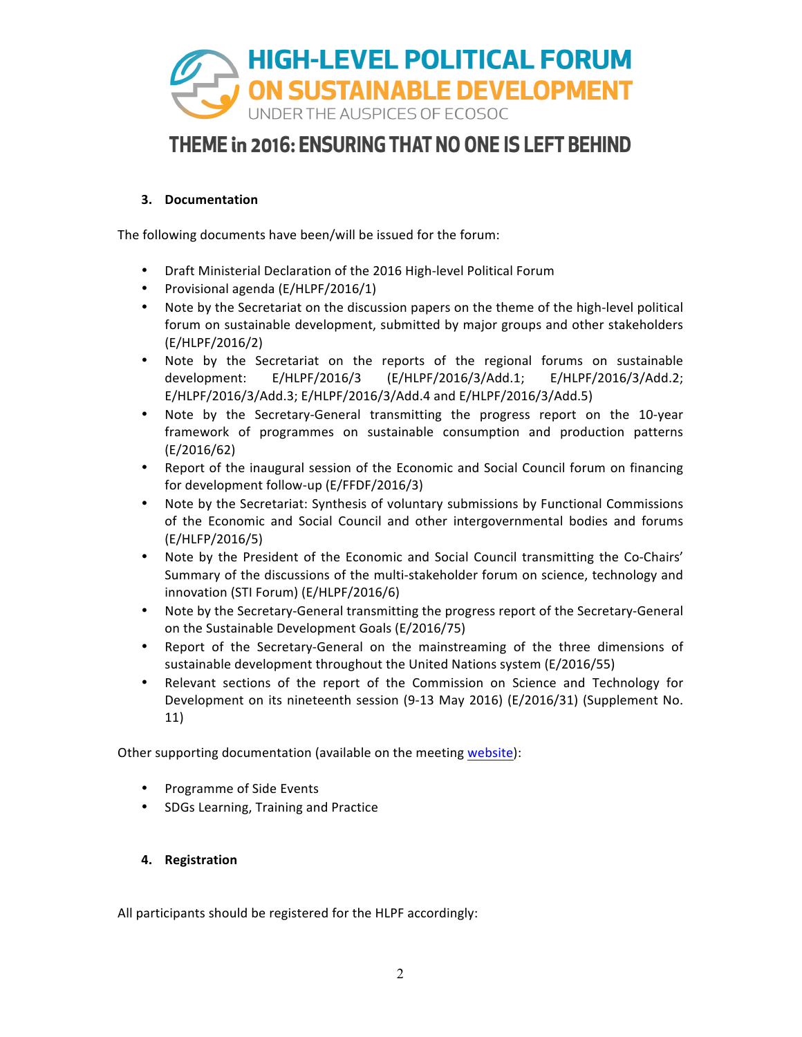

### **3. Documentation**

The following documents have been/will be issued for the forum:

- Draft Ministerial Declaration of the 2016 High-level Political Forum
- Provisional agenda (E/HLPF/2016/1)
- Note by the Secretariat on the discussion papers on the theme of the high-level political forum on sustainable development, submitted by major groups and other stakeholders (E/HLPF/2016/2)
- Note by the Secretariat on the reports of the regional forums on sustainable development: E/HLPF/2016/3 (E/HLPF/2016/3/Add.1; E/HLPF/2016/3/Add.2; E/HLPF/2016/3/Add.3; E/HLPF/2016/3/Add.4 and E/HLPF/2016/3/Add.5)
- Note by the Secretary-General transmitting the progress report on the 10-year framework of programmes on sustainable consumption and production patterns (E/2016/62)
- Report of the inaugural session of the Economic and Social Council forum on financing for development follow-up (E/FFDF/2016/3)
- Note by the Secretariat: Synthesis of voluntary submissions by Functional Commissions of the Economic and Social Council and other intergovernmental bodies and forums (E/HLFP/2016/5)
- Note by the President of the Economic and Social Council transmitting the Co-Chairs' Summary of the discussions of the multi-stakeholder forum on science, technology and innovation (STI Forum) (E/HLPF/2016/6)
- Note by the Secretary-General transmitting the progress report of the Secretary-General on the Sustainable Development Goals (E/2016/75)
- Report of the Secretary-General on the mainstreaming of the three dimensions of sustainable development throughout the United Nations system (E/2016/55)
- Relevant sections of the report of the Commission on Science and Technology for Development on its nineteenth session (9-13 May 2016) (E/2016/31) (Supplement No. 11)

Other supporting documentation (available on the meeting website):

- Programme of Side Events
- SDGs Learning, Training and Practice
- **4. Registration**

All participants should be registered for the HLPF accordingly: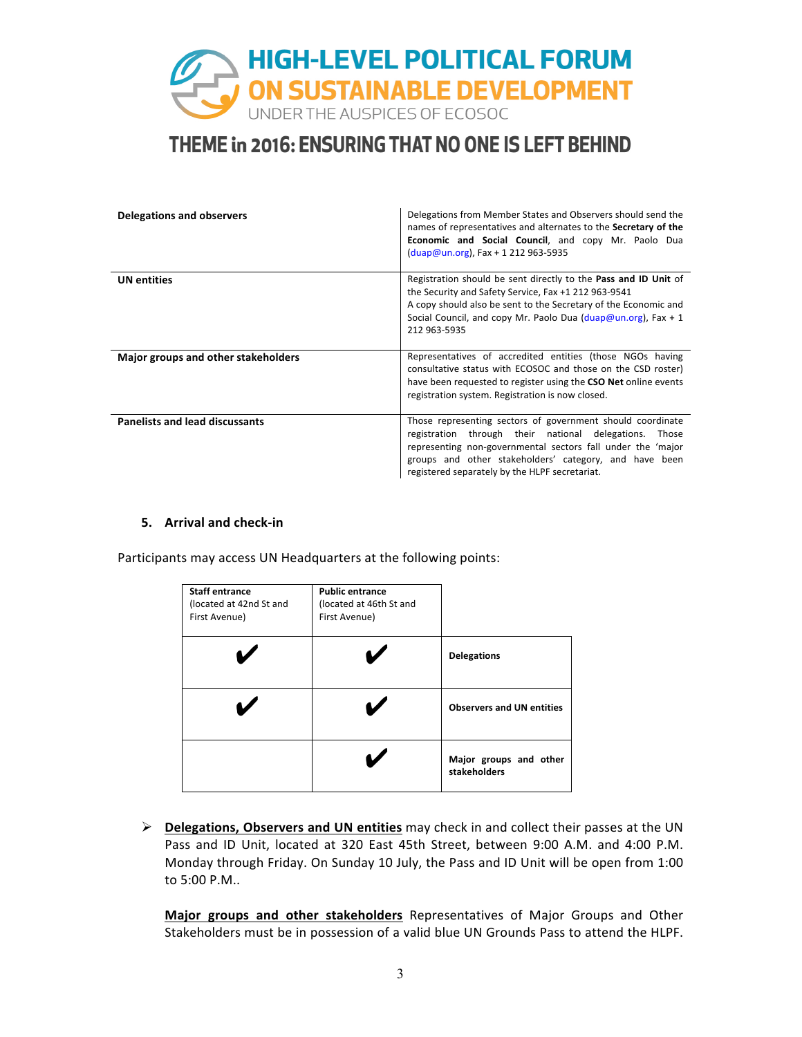

| <b>Delegations and observers</b>      | Delegations from Member States and Observers should send the<br>names of representatives and alternates to the Secretary of the<br><b>Economic and Social Council</b> , and copy Mr. Paolo Dua<br>$(duap@un.org)$ , Fax + 1 212 963-5935                                                              |
|---------------------------------------|-------------------------------------------------------------------------------------------------------------------------------------------------------------------------------------------------------------------------------------------------------------------------------------------------------|
| <b>UN</b> entities                    | Registration should be sent directly to the Pass and ID Unit of<br>the Security and Safety Service, Fax +1 212 963-9541<br>A copy should also be sent to the Secretary of the Economic and<br>Social Council, and copy Mr. Paolo Dua $(\text{duap@un.org})$ , Fax + 1<br>212 963-5935                 |
| Major groups and other stakeholders   | Representatives of accredited entities (those NGOs having<br>consultative status with ECOSOC and those on the CSD roster)<br>have been requested to register using the CSO Net online events<br>registration system. Registration is now closed.                                                      |
| <b>Panelists and lead discussants</b> | Those representing sectors of government should coordinate<br>through their national delegations.<br>registration<br>Those<br>representing non-governmental sectors fall under the 'major<br>groups and other stakeholders' category, and have been<br>registered separately by the HLPF secretariat. |

#### **5. Arrival and check-in**

Participants may access UN Headquarters at the following points:

| <b>Staff entrance</b><br>(located at 42nd St and<br>First Avenue) | <b>Public entrance</b><br>(located at 46th St and<br>First Avenue) |                                        |
|-------------------------------------------------------------------|--------------------------------------------------------------------|----------------------------------------|
|                                                                   |                                                                    | <b>Delegations</b>                     |
|                                                                   |                                                                    | <b>Observers and UN entities</b>       |
|                                                                   |                                                                    | Major groups and other<br>stakeholders |

**►** Delegations, Observers and UN entities may check in and collect their passes at the UN Pass and ID Unit, located at 320 East 45th Street, between 9:00 A.M. and 4:00 P.M. Monday through Friday. On Sunday 10 July, the Pass and ID Unit will be open from 1:00 to 5:00 P.M..

**Major groups and other stakeholders** Representatives of Major Groups and Other Stakeholders must be in possession of a valid blue UN Grounds Pass to attend the HLPF.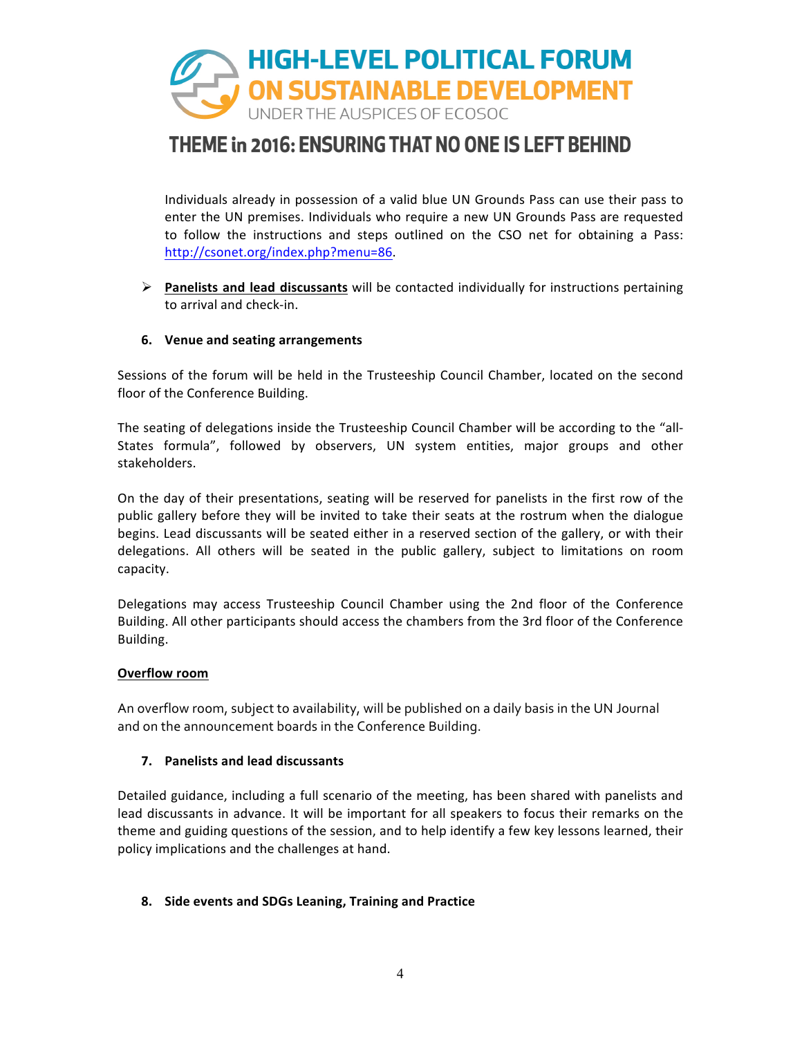

Individuals already in possession of a valid blue UN Grounds Pass can use their pass to enter the UN premises. Individuals who require a new UN Grounds Pass are requested to follow the instructions and steps outlined on the CSO net for obtaining a Pass: http://csonet.org/index.php?menu=86.

 $\triangleright$  **Panelists and lead discussants** will be contacted individually for instructions pertaining to arrival and check-in.

### **6.** Venue and seating arrangements

Sessions of the forum will be held in the Trusteeship Council Chamber, located on the second floor of the Conference Building.

The seating of delegations inside the Trusteeship Council Chamber will be according to the "all-States formula", followed by observers, UN system entities, major groups and other stakeholders.

On the day of their presentations, seating will be reserved for panelists in the first row of the public gallery before they will be invited to take their seats at the rostrum when the dialogue begins. Lead discussants will be seated either in a reserved section of the gallery, or with their delegations. All others will be seated in the public gallery, subject to limitations on room capacity.

Delegations may access Trusteeship Council Chamber using the 2nd floor of the Conference Building. All other participants should access the chambers from the 3rd floor of the Conference Building.

#### **Overflow room**

An overflow room, subject to availability, will be published on a daily basis in the UN Journal and on the announcement boards in the Conference Building.

### **7. Panelists and lead discussants**

Detailed guidance, including a full scenario of the meeting, has been shared with panelists and lead discussants in advance. It will be important for all speakers to focus their remarks on the theme and guiding questions of the session, and to help identify a few key lessons learned, their policy implications and the challenges at hand.

### **8.** Side events and SDGs Leaning, Training and Practice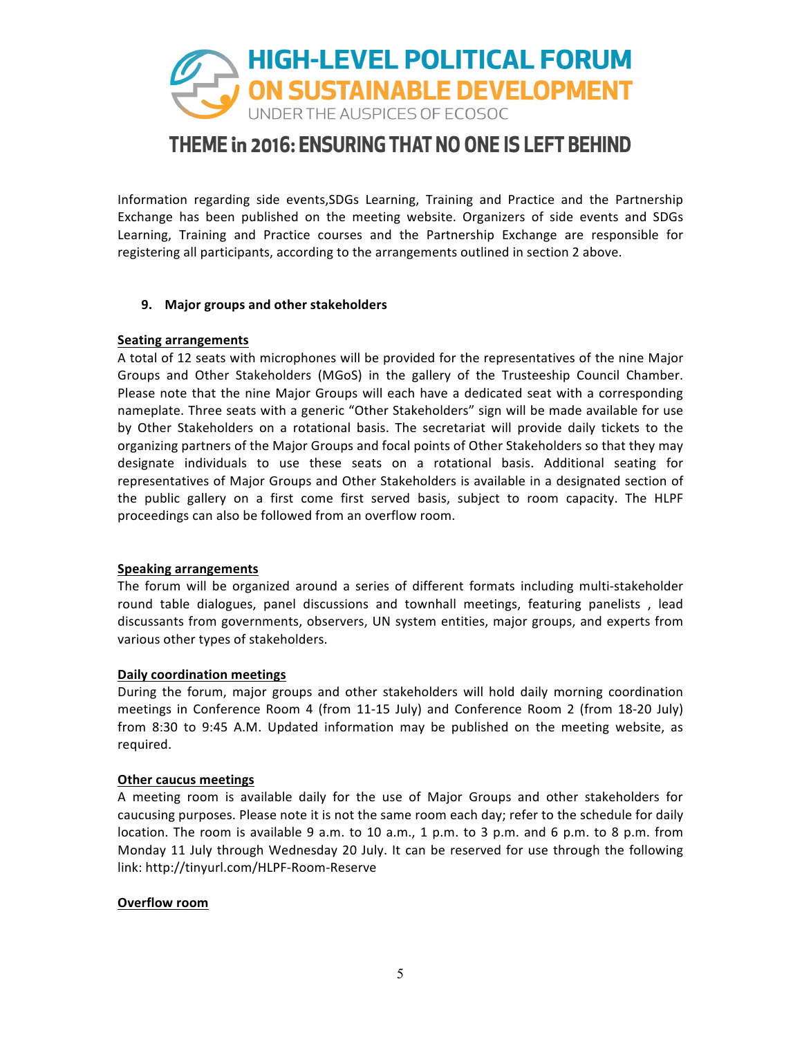

Information regarding side events, SDGs Learning, Training and Practice and the Partnership Exchange has been published on the meeting website. Organizers of side events and SDGs Learning, Training and Practice courses and the Partnership Exchange are responsible for registering all participants, according to the arrangements outlined in section 2 above.

#### **9. Major groups and other stakeholders**

#### **Seating arrangements**

A total of 12 seats with microphones will be provided for the representatives of the nine Major Groups and Other Stakeholders (MGoS) in the gallery of the Trusteeship Council Chamber. Please note that the nine Major Groups will each have a dedicated seat with a corresponding nameplate. Three seats with a generic "Other Stakeholders" sign will be made available for use by Other Stakeholders on a rotational basis. The secretariat will provide daily tickets to the organizing partners of the Major Groups and focal points of Other Stakeholders so that they may designate individuals to use these seats on a rotational basis. Additional seating for representatives of Major Groups and Other Stakeholders is available in a designated section of the public gallery on a first come first served basis, subject to room capacity. The HLPF proceedings can also be followed from an overflow room.

#### **Speaking arrangements**

The forum will be organized around a series of different formats including multi-stakeholder round table dialogues, panel discussions and townhall meetings, featuring panelists, lead discussants from governments, observers, UN system entities, major groups, and experts from various other types of stakeholders.

#### **Daily coordination meetings**

During the forum, major groups and other stakeholders will hold daily morning coordination meetings in Conference Room 4 (from 11-15 July) and Conference Room 2 (from 18-20 July) from 8:30 to 9:45 A.M. Updated information may be published on the meeting website, as required.

#### **Other caucus meetings**

A meeting room is available daily for the use of Major Groups and other stakeholders for caucusing purposes. Please note it is not the same room each day; refer to the schedule for daily location. The room is available 9 a.m. to 10 a.m., 1 p.m. to 3 p.m. and 6 p.m. to 8 p.m. from Monday 11 July through Wednesday 20 July. It can be reserved for use through the following link: http://tinyurl.com/HLPF-Room-Reserve

#### **Overflow room**